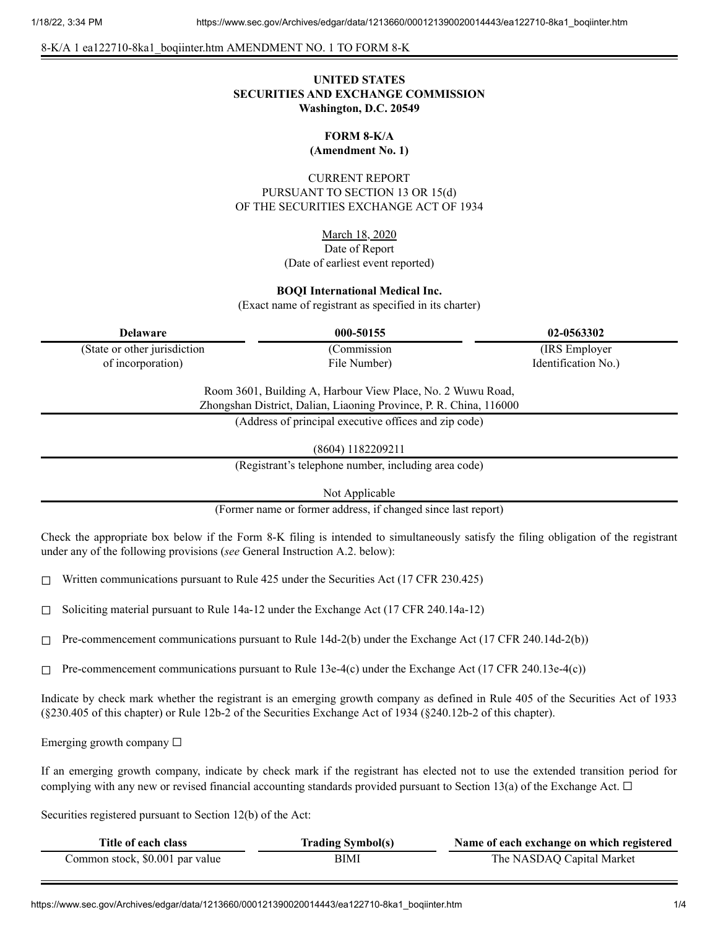8-K/A 1 ea122710-8ka1\_boqiinter.htm AMENDMENT NO. 1 TO FORM 8-K

## **UNITED STATES SECURITIES AND EXCHANGE COMMISSION Washington, D.C. 20549**

# **FORM 8-K/A**

**(Amendment No. 1)**

CURRENT REPORT PURSUANT TO SECTION 13 OR 15(d) OF THE SECURITIES EXCHANGE ACT OF 1934

March 18, 2020

## Date of Report (Date of earliest event reported)

## **BOQI International Medical Inc.**

(Exact name of registrant as specified in its charter)

(State or other jurisdiction of incorporation)

(Commission File Number)

**Delaware 000-50155 02-0563302** (IRS Employer Identification No.)

> Room 3601, Building A, Harbour View Place, No. 2 Wuwu Road, Zhongshan District, Dalian, Liaoning Province, P. R. China, 116000

> > (Address of principal executive offices and zip code)

(8604) 1182209211

(Registrant's telephone number, including area code)

Not Applicable

(Former name or former address, if changed since last report)

Check the appropriate box below if the Form 8-K filing is intended to simultaneously satisfy the filing obligation of the registrant under any of the following provisions (*see* General Instruction A.2. below):

 $\Box$  Written communications pursuant to Rule 425 under the Securities Act (17 CFR 230.425)

 $\Box$  Soliciting material pursuant to Rule 14a-12 under the Exchange Act (17 CFR 240.14a-12)

 $\Box$  Pre-commencement communications pursuant to Rule 14d-2(b) under the Exchange Act (17 CFR 240.14d-2(b))

 $\Box$  Pre-commencement communications pursuant to Rule 13e-4(c) under the Exchange Act (17 CFR 240.13e-4(c))

Indicate by check mark whether the registrant is an emerging growth company as defined in Rule 405 of the Securities Act of 1933 (§230.405 of this chapter) or Rule 12b-2 of the Securities Exchange Act of 1934 (§240.12b-2 of this chapter).

Emerging growth company  $\Box$ 

If an emerging growth company, indicate by check mark if the registrant has elected not to use the extended transition period for complying with any new or revised financial accounting standards provided pursuant to Section 13(a) of the Exchange Act.  $\Box$ 

Securities registered pursuant to Section 12(b) of the Act:

| Title of each class             | <b>Trading Symbol(s)</b> | Name of each exchange on which registered |
|---------------------------------|--------------------------|-------------------------------------------|
| Common stock, \$0.001 par value | BIMI                     | The NASDAQ Capital Market                 |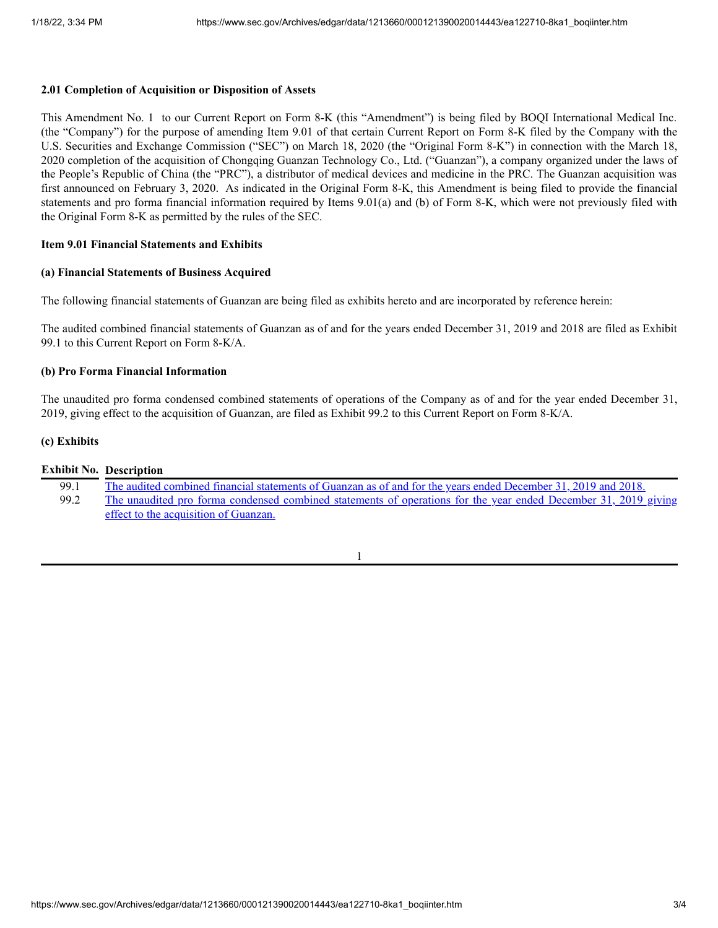## **2.01 Completion of Acquisition or Disposition of Assets**

This Amendment No. 1 to our Current Report on Form 8-K (this "Amendment") is being filed by BOQI International Medical Inc. (the "Company") for the purpose of amending Item 9.01 of that certain Current Report on Form 8-K filed by the Company with the U.S. Securities and Exchange Commission ("SEC") on March 18, 2020 (the "Original Form 8-K") in connection with the March 18, 2020 completion of the acquisition of Chongqing Guanzan Technology Co., Ltd. ("Guanzan"), a company organized under the laws of the People's Republic of China (the "PRC"), a distributor of medical devices and medicine in the PRC. The Guanzan acquisition was first announced on February 3, 2020. As indicated in the Original Form 8-K, this Amendment is being filed to provide the financial statements and pro forma financial information required by Items 9.01(a) and (b) of Form 8-K, which were not previously filed with the Original Form 8-K as permitted by the rules of the SEC.

## **Item 9.01 Financial Statements and Exhibits**

#### **(a) Financial Statements of Business Acquired**

The following financial statements of Guanzan are being filed as exhibits hereto and are incorporated by reference herein:

The audited combined financial statements of Guanzan as of and for the years ended December 31, 2019 and 2018 are filed as Exhibit 99.1 to this Current Report on Form 8-K/A.

## **(b) Pro Forma Financial Information**

The unaudited pro forma condensed combined statements of operations of the Company as of and for the year ended December 31, 2019, giving effect to the acquisition of Guanzan, are filed as Exhibit 99.2 to this Current Report on Form 8-K/A.

## **(c) Exhibits**

|      | <b>Exhibit No. Description</b>                                                                                  |
|------|-----------------------------------------------------------------------------------------------------------------|
| 99.1 | The audited combined financial statements of Guanzan as of and for the years ended December 31, 2019 and 2018.  |
| 99.2 | The unaudited pro forma condensed combined statements of operations for the year ended December 31, 2019 giving |
|      | effect to the acquisition of Guanzan.                                                                           |

1